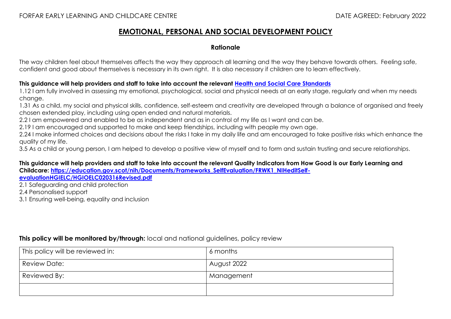# **EMOTIONAL, PERSONAL AND SOCIAL DEVELOPMENT POLICY**

#### **Rationale**

The way children feel about themselves affects the way they approach all learning and the way they behave towards others. Feeling safe, confident and good about themselves is necessary in its own right. It is also necessary if children are to learn effectively.

### **This guidance will help providers and staff to take into account the relevant Health and [Social Care Standards](https://www.gov.scot/binaries/content/documents/govscot/publications/advice-and-guidance/2017/06/health-social-care-standards-support-life/documents/00520693-pdf/00520693-pdf/govscot%3Adocument/00520693.pdf)**

1.12 I am fully involved in assessing my emotional, psychological, social and physical needs at an early stage, regularly and when my needs change.

1.31 As a child, my social and physical skills, confidence, self-esteem and creativity are developed through a balance of organised and freely chosen extended play, including using open ended and natural materials.

2.2 I am empowered and enabled to be as independent and as in control of my life as I want and can be.

2.19 I am encouraged and supported to make and keep friendships, including with people my own age.

2.24 I make informed choices and decisions about the risks I take in my daily life and am encouraged to take positive risks which enhance the quality of my life.

3.5 As a child or young person, I am helped to develop a positive view of myself and to form and sustain trusting and secure relationships.

**This guidance will help providers and staff to take into account the relevant Quality Indicators from How Good is our Early Learning and**  Childcare: https://education.gov.scot/nih/Documents/Frameworks SelfEvaluation/FRWK1\_NIHeditSelf-

**[evaluationHGIELC/HGIOELC020316Revised.pdf](https://education.gov.scot/nih/Documents/Frameworks_SelfEvaluation/FRWK1_NIHeditSelf-evaluationHGIELC/HGIOELC020316Revised.pdf)**

2.1 Safeguarding and child protection

2.4 Personalised support

3.1 Ensuring well-being, equality and inclusion

### **This policy will be monitored by/through:** local and national guidelines, policy review

| This policy will be reviewed in: | 6 months    |
|----------------------------------|-------------|
| Review Date:                     | August 2022 |
| Reviewed By:                     | Management  |
|                                  |             |